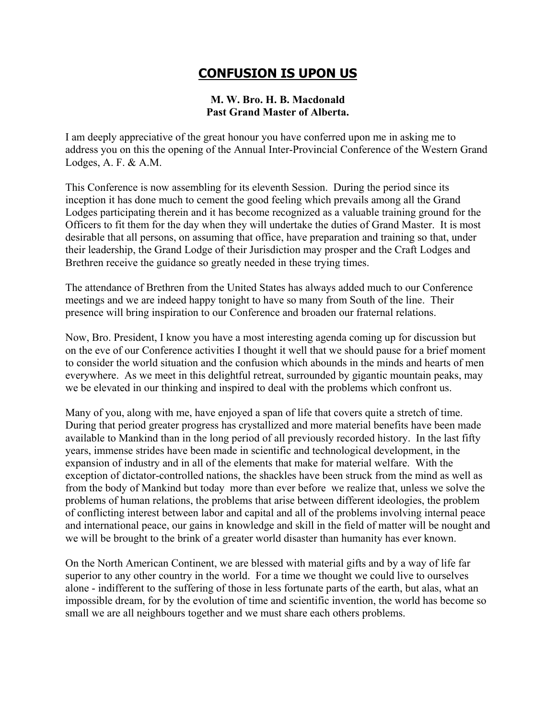## **CONFUSION IS UPON US**

## **M. W. Bro. H. B. Macdonald Past Grand Master of Alberta.**

I am deeply appreciative of the great honour you have conferred upon me in asking me to address you on this the opening of the Annual Inter-Provincial Conference of the Western Grand Lodges, A. F. & A.M.

This Conference is now assembling for its eleventh Session. During the period since its inception it has done much to cement the good feeling which prevails among all the Grand Lodges participating therein and it has become recognized as a valuable training ground for the Officers to fit them for the day when they will undertake the duties of Grand Master. It is most desirable that all persons, on assuming that office, have preparation and training so that, under their leadership, the Grand Lodge of their Jurisdiction may prosper and the Craft Lodges and Brethren receive the guidance so greatly needed in these trying times.

The attendance of Brethren from the United States has always added much to our Conference meetings and we are indeed happy tonight to have so many from South of the line. Their presence will bring inspiration to our Conference and broaden our fraternal relations.

Now, Bro. President, I know you have a most interesting agenda coming up for discussion but on the eve of our Conference activities I thought it well that we should pause for a brief moment to consider the world situation and the confusion which abounds in the minds and hearts of men everywhere. As we meet in this delightful retreat, surrounded by gigantic mountain peaks, may we be elevated in our thinking and inspired to deal with the problems which confront us.

Many of you, along with me, have enjoyed a span of life that covers quite a stretch of time. During that period greater progress has crystallized and more material benefits have been made available to Mankind than in the long period of all previously recorded history. In the last fifty years, immense strides have been made in scientific and technological development, in the expansion of industry and in all of the elements that make for material welfare. With the exception of dictator-controlled nations, the shackles have been struck from the mind as well as from the body of Mankind but today more than ever before we realize that, unless we solve the problems of human relations, the problems that arise between different ideologies, the problem of conflicting interest between labor and capital and all of the problems involving internal peace and international peace, our gains in knowledge and skill in the field of matter will be nought and we will be brought to the brink of a greater world disaster than humanity has ever known.

On the North American Continent, we are blessed with material gifts and by a way of life far superior to any other country in the world. For a time we thought we could live to ourselves alone - indifferent to the suffering of those in less fortunate parts of the earth, but alas, what an impossible dream, for by the evolution of time and scientific invention, the world has become so small we are all neighbours together and we must share each others problems.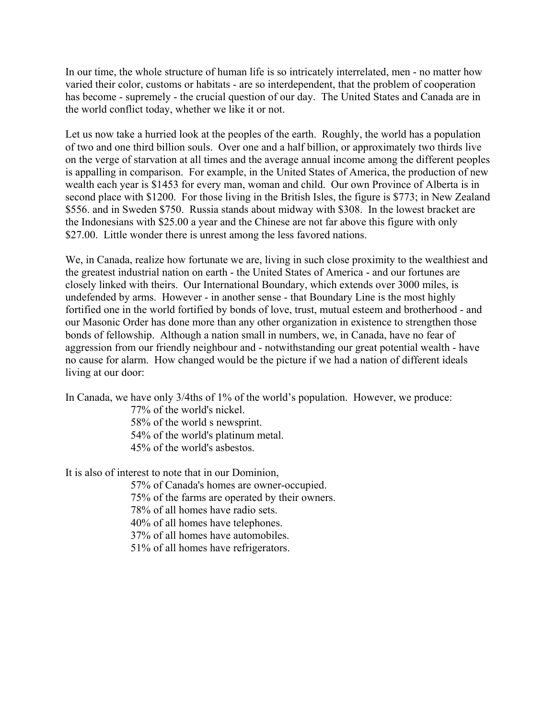In our time, the whole structure of human life is so intricately interrelated, men - no matter how varied their color, customs or habitats - are so interdependent, that the problem of cooperation has become - supremely - the crucial question of our day. The United States and Canada are in the world conflict today, whether we like it or not.

Let us now take a hurried look at the peoples of the earth. Roughly, the world has a population of two and one third billion souls. Over one and a half billion, or approximately two thirds live on the verge of starvation at all times and the average annual income among the different peoples is appalling in comparison. For example, in the United States of America, the production of new wealth each year is \$1453 for every man, woman and child. Our own Province of Alberta is in second place with \$1200. For those living in the British Isles, the figure is \$773; in New Zealand \$556. and in Sweden \$750. Russia stands about midway with \$308. In the lowest bracket are the Indonesians with \$25.00 a year and the Chinese are not far above this figure with only \$27.00. Little wonder there is unrest among the less favored nations.

We, in Canada, realize how fortunate we are, living in such close proximity to the wealthiest and the greatest industrial nation on earth - the United States of America - and our fortunes are closely linked with theirs. Our International Boundary, which extends over 3000 miles, is undefended by arms. However - in another sense - that Boundary Line is the most highly fortified one in the world fortified by bonds of love, trust, mutual esteem and brotherhood - and our Masonic Order has done more than any other organization in existence to strengthen those bonds of fellowship. Although a nation small in numbers, we, in Canada, have no fear of aggression from our friendly neighbour and - notwithstanding our great potential wealth - have no cause for alarm. How changed would be the picture if we had a nation of different ideals living at our door:

In Canada, we have only 3/4ths of 1% of the world's population. However, we produce:

77% of the world's nickel. 58% of the world s newsprint. 54% of the world's platinum metal. 45% of the world's asbestos.

It is also of interest to note that in our Dominion,

57% of Canada's homes are owner-occupied.

75% of the farms are operated by their owners.

78% of all homes have radio sets.

40% of all homes have telephones.

37% of all homes have automobiles.

51% of all homes have refrigerators.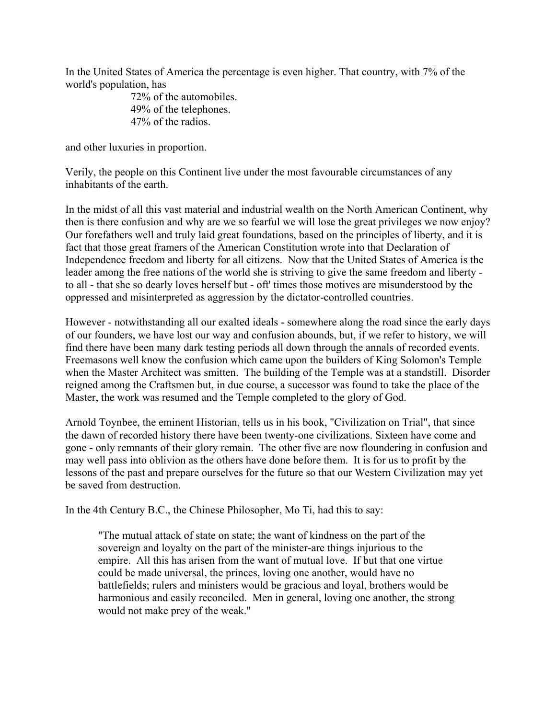In the United States of America the percentage is even higher. That country, with 7% of the world's population, has

> 72% of the automobiles. 49% of the telephones. 47% of the radios.

and other luxuries in proportion.

Verily, the people on this Continent live under the most favourable circumstances of any inhabitants of the earth.

In the midst of all this vast material and industrial wealth on the North American Continent, why then is there confusion and why are we so fearful we will lose the great privileges we now enjoy? Our forefathers well and truly laid great foundations, based on the principles of liberty, and it is fact that those great framers of the American Constitution wrote into that Declaration of Independence freedom and liberty for all citizens. Now that the United States of America is the leader among the free nations of the world she is striving to give the same freedom and liberty to all - that she so dearly loves herself but - oft' times those motives are misunderstood by the oppressed and misinterpreted as aggression by the dictator-controlled countries.

However - notwithstanding all our exalted ideals - somewhere along the road since the early days of our founders, we have lost our way and confusion abounds, but, if we refer to history, we will find there have been many dark testing periods all down through the annals of recorded events. Freemasons well know the confusion which came upon the builders of King Solomon's Temple when the Master Architect was smitten. The building of the Temple was at a standstill. Disorder reigned among the Craftsmen but, in due course, a successor was found to take the place of the Master, the work was resumed and the Temple completed to the glory of God.

Arnold Toynbee, the eminent Historian, tells us in his book, "Civilization on Trial", that since the dawn of recorded history there have been twenty-one civilizations. Sixteen have come and gone - only remnants of their glory remain. The other five are now floundering in confusion and may well pass into oblivion as the others have done before them. It is for us to profit by the lessons of the past and prepare ourselves for the future so that our Western Civilization may yet be saved from destruction.

In the 4th Century B.C., the Chinese Philosopher, Mo Ti, had this to say:

"The mutual attack of state on state; the want of kindness on the part of the sovereign and loyalty on the part of the minister-are things injurious to the empire. All this has arisen from the want of mutual love. If but that one virtue could be made universal, the princes, loving one another, would have no battlefields; rulers and ministers would be gracious and loyal, brothers would be harmonious and easily reconciled. Men in general, loving one another, the strong would not make prey of the weak."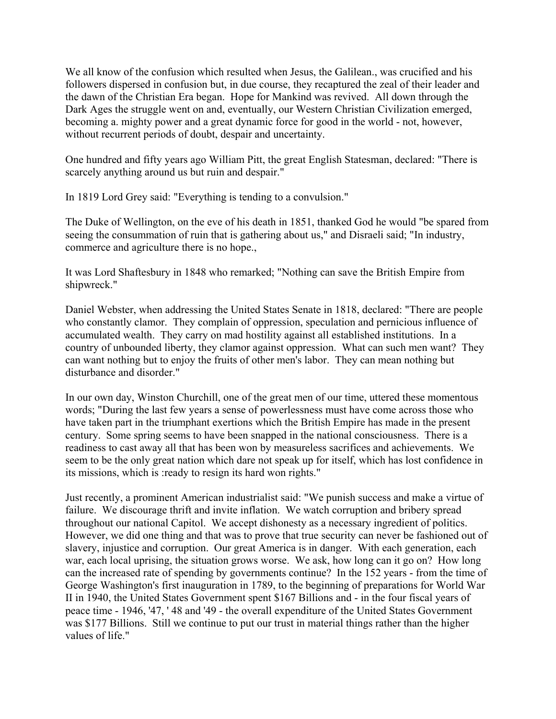We all know of the confusion which resulted when Jesus, the Galilean., was crucified and his followers dispersed in confusion but, in due course, they recaptured the zeal of their leader and the dawn of the Christian Era began. Hope for Mankind was revived. All down through the Dark Ages the struggle went on and, eventually, our Western Christian Civilization emerged, becoming a. mighty power and a great dynamic force for good in the world - not, however, without recurrent periods of doubt, despair and uncertainty.

One hundred and fifty years ago William Pitt, the great English Statesman, declared: "There is scarcely anything around us but ruin and despair."

In 1819 Lord Grey said: "Everything is tending to a convulsion."

The Duke of Wellington, on the eve of his death in 1851, thanked God he would "be spared from seeing the consummation of ruin that is gathering about us," and Disraeli said; "In industry, commerce and agriculture there is no hope.,

It was Lord Shaftesbury in 1848 who remarked; "Nothing can save the British Empire from shipwreck."

Daniel Webster, when addressing the United States Senate in 1818, declared: "There are people who constantly clamor. They complain of oppression, speculation and pernicious influence of accumulated wealth. They carry on mad hostility against all established institutions. In a country of unbounded liberty, they clamor against oppression. What can such men want? They can want nothing but to enjoy the fruits of other men's labor. They can mean nothing but disturbance and disorder."

In our own day, Winston Churchill, one of the great men of our time, uttered these momentous words; "During the last few years a sense of powerlessness must have come across those who have taken part in the triumphant exertions which the British Empire has made in the present century. Some spring seems to have been snapped in the national consciousness. There is a readiness to cast away all that has been won by measureless sacrifices and achievements. We seem to be the only great nation which dare not speak up for itself, which has lost confidence in its missions, which is :ready to resign its hard won rights."

Just recently, a prominent American industrialist said: "We punish success and make a virtue of failure. We discourage thrift and invite inflation. We watch corruption and bribery spread throughout our national Capitol. We accept dishonesty as a necessary ingredient of politics. However, we did one thing and that was to prove that true security can never be fashioned out of slavery, injustice and corruption. Our great America is in danger. With each generation, each war, each local uprising, the situation grows worse. We ask, how long can it go on? How long can the increased rate of spending by governments continue? In the 152 years - from the time of George Washington's first inauguration in 1789, to the beginning of preparations for World War II in 1940, the United States Government spent \$167 Billions and - in the four fiscal years of peace time - 1946, '47, ' 48 and '49 - the overall expenditure of the United States Government was \$177 Billions. Still we continue to put our trust in material things rather than the higher values of life."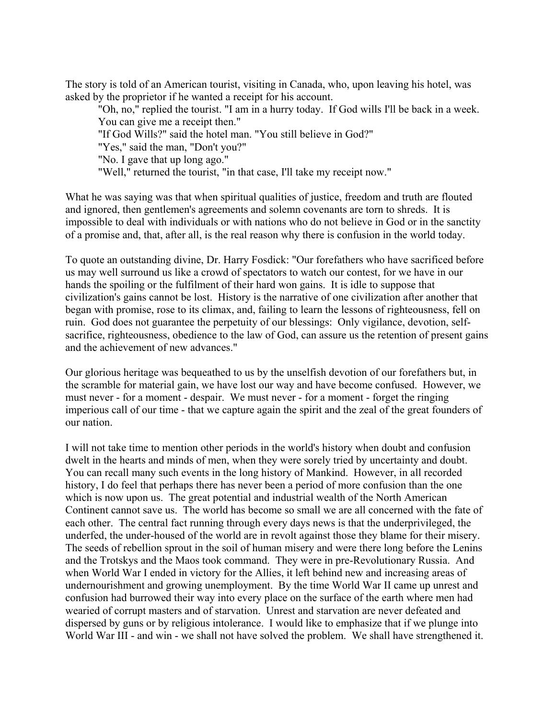The story is told of an American tourist, visiting in Canada, who, upon leaving his hotel, was asked by the proprietor if he wanted a receipt for his account.

"Oh, no," replied the tourist. "I am in a hurry today. If God wills I'll be back in a week. You can give me a receipt then." "If God Wills?" said the hotel man. "You still believe in God?" "Yes," said the man, "Don't you?" "No. I gave that up long ago." "Well," returned the tourist, "in that case, I'll take my receipt now."

What he was saying was that when spiritual qualities of justice, freedom and truth are flouted and ignored, then gentlemen's agreements and solemn covenants are torn to shreds. It is impossible to deal with individuals or with nations who do not believe in God or in the sanctity of a promise and, that, after all, is the real reason why there is confusion in the world today.

To quote an outstanding divine, Dr. Harry Fosdick: "Our forefathers who have sacrificed before us may well surround us like a crowd of spectators to watch our contest, for we have in our hands the spoiling or the fulfilment of their hard won gains. It is idle to suppose that civilization's gains cannot be lost. History is the narrative of one civilization after another that began with promise, rose to its climax, and, failing to learn the lessons of righteousness, fell on ruin. God does not guarantee the perpetuity of our blessings: Only vigilance, devotion, selfsacrifice, righteousness, obedience to the law of God, can assure us the retention of present gains and the achievement of new advances."

Our glorious heritage was bequeathed to us by the unselfish devotion of our forefathers but, in the scramble for material gain, we have lost our way and have become confused. However, we must never - for a moment - despair. We must never - for a moment - forget the ringing imperious call of our time - that we capture again the spirit and the zeal of the great founders of our nation.

I will not take time to mention other periods in the world's history when doubt and confusion dwelt in the hearts and minds of men, when they were sorely tried by uncertainty and doubt. You can recall many such events in the long history of Mankind. However, in all recorded history, I do feel that perhaps there has never been a period of more confusion than the one which is now upon us. The great potential and industrial wealth of the North American Continent cannot save us. The world has become so small we are all concerned with the fate of each other. The central fact running through every days news is that the underprivileged, the underfed, the under-housed of the world are in revolt against those they blame for their misery. The seeds of rebellion sprout in the soil of human misery and were there long before the Lenins and the Trotskys and the Maos took command. They were in pre-Revolutionary Russia. And when World War I ended in victory for the Allies, it left behind new and increasing areas of undernourishment and growing unemployment. By the time World War II came up unrest and confusion had burrowed their way into every place on the surface of the earth where men had wearied of corrupt masters and of starvation. Unrest and starvation are never defeated and dispersed by guns or by religious intolerance. I would like to emphasize that if we plunge into World War III - and win - we shall not have solved the problem. We shall have strengthened it.